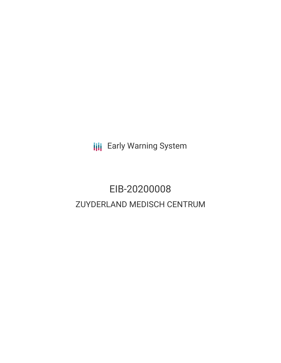**III** Early Warning System

# EIB-20200008 ZUYDERLAND MEDISCH CENTRUM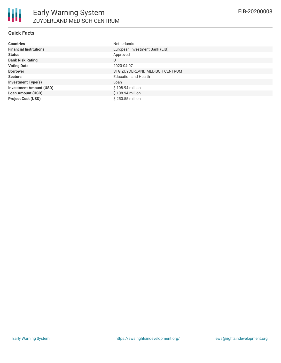| <b>Countries</b>               | <b>Netherlands</b>             |
|--------------------------------|--------------------------------|
| <b>Financial Institutions</b>  | European Investment Bank (EIB) |
| <b>Status</b>                  | Approved                       |
| <b>Bank Risk Rating</b>        | U                              |
| <b>Voting Date</b>             | 2020-04-07                     |
| <b>Borrower</b>                | STG ZUYDERLAND MEDISCH CENTRUM |
| <b>Sectors</b>                 | <b>Education and Health</b>    |
| <b>Investment Type(s)</b>      | Loan                           |
| <b>Investment Amount (USD)</b> | \$108.94 million               |
| <b>Loan Amount (USD)</b>       | \$108.94 million               |
| <b>Project Cost (USD)</b>      | $$250.55$ million              |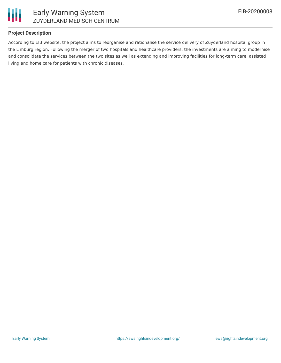

# **Project Description**

According to EIB website, the project aims to reorganise and rationalise the service delivery of Zuyderland hospital group in the Limburg region. Following the merger of two hospitals and healthcare providers, the investments are aiming to modernise and consolidate the services between the two sites as well as extending and improving facilities for long-term care, assisted living and home care for patients with chronic diseases.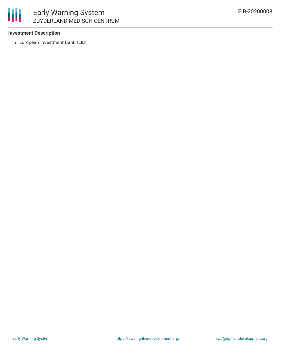

### **Investment Description**

European Investment Bank (EIB)